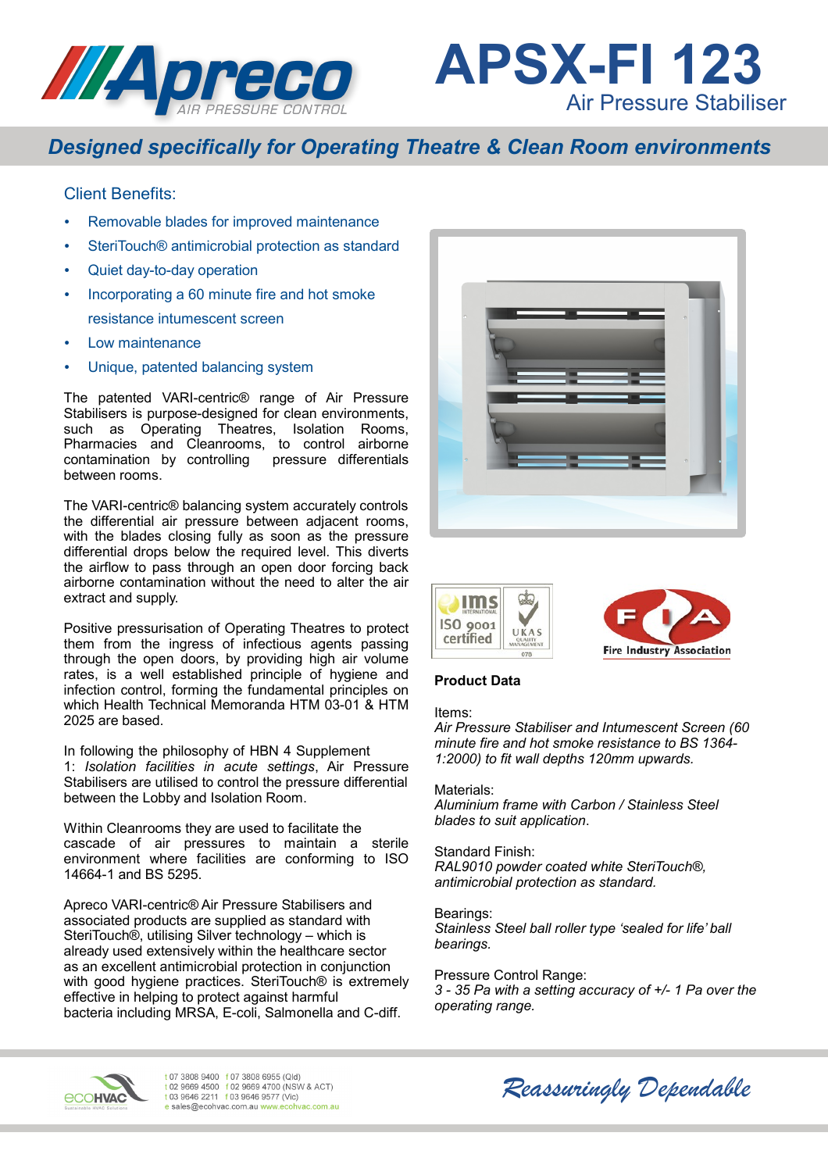



# *Designed specifically for Operating Theatre & Clean Room environments*

## Client Benefits:

- Removable blades for improved maintenance
- SteriTouch® antimicrobial protection as standard
- Quiet day-to-day operation
- Incorporating a 60 minute fire and hot smoke resistance intumescent screen
- Low maintenance
- Unique, patented balancing system

The patented VARI-centric® range of Air Pressure Stabilisers is purpose-designed for clean environments, such as Operating Theatres, Isolation Rooms, Pharmacies and Cleanrooms, to control airborne contamination by controlling pressure differentials between rooms.

The VARI-centric® balancing system accurately controls the differential air pressure between adjacent rooms, with the blades closing fully as soon as the pressure differential drops below the required level. This diverts the airflow to pass through an open door forcing back airborne contamination without the need to alter the air extract and supply.

Positive pressurisation of Operating Theatres to protect them from the ingress of infectious agents passing through the open doors, by providing high air volume rates, is a well established principle of hygiene and infection control, forming the fundamental principles on which Health Technical Memoranda HTM 03-01 & HTM 2025 are based.

In following the philosophy of HBN 4 Supplement 1: *Isolation facilities in acute settings*, Air Pressure Stabilisers are utilised to control the pressure differential between the Lobby and Isolation Room.

Within Cleanrooms they are used to facilitate the cascade of air pressures to maintain a sterile environment where facilities are conforming to ISO 14664-1 and BS 5295.

Apreco VARI-centric® Air Pressure Stabilisers and associated products are supplied as standard with SteriTouch®, utilising Silver technology – which is already used extensively within the healthcare sector as an excellent antimicrobial protection in conjunction with good hygiene practices. SteriTouch® is extremely effective in helping to protect against harmful bacteria including MRSA, E-coli, Salmonella and C-diff.







### **Product Data**

#### Items:

*Air Pressure Stabiliser and Intumescent Screen (60 minute fire and hot smoke resistance to BS 1364- 1:2000) to fit wall depths 120mm upwards.*

#### Materials:

*Aluminium frame with Carbon / Stainless Steel blades to suit application*.

Standard Finish: *RAL9010 powder coated white SteriTouch®, antimicrobial protection as standard.*

Bearings: *Stainless Steel ball roller type 'sealed for life' ball bearings.*

Pressure Control Range: *3 - 35 Pa with a setting accuracy of +/- 1 Pa over the operating range.*



t 07 3808 9400 f 07 3808 6955 (Qld) t 02 9669 4500 f 02 9669 4700 (NSW & ACT) t 03 9646 2211 f 03 9646 9577 (Vic) e sales@ecohvac.com.au www.ecohvac.com.au

*Reassuringly Dependable*